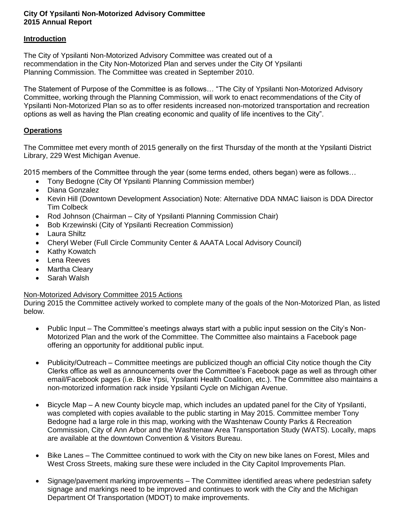## **City Of Ypsilanti Non-Motorized Advisory Committee 2015 Annual Report**

## **Introduction**

The City of Ypsilanti Non-Motorized Advisory Committee was created out of a recommendation in the City Non-Motorized Plan and serves under the City Of Ypsilanti Planning Commission. The Committee was created in September 2010.

The Statement of Purpose of the Committee is as follows… "The City of Ypsilanti Non-Motorized Advisory Committee, working through the Planning Commission, will work to enact recommendations of the City of Ypsilanti Non-Motorized Plan so as to offer residents increased non-motorized transportation and recreation options as well as having the Plan creating economic and quality of life incentives to the City".

## **Operations**

The Committee met every month of 2015 generally on the first Thursday of the month at the Ypsilanti District Library, 229 West Michigan Avenue.

2015 members of the Committee through the year (some terms ended, others began) were as follows…

- Tony Bedogne (City Of Ypsilanti Planning Commission member)
- Diana Gonzalez
- Kevin Hill (Downtown Development Association) Note: Alternative DDA NMAC liaison is DDA Director Tim Colbeck
- Rod Johnson (Chairman City of Ypsilanti Planning Commission Chair)
- Bob Krzewinski (City of Ypsilanti Recreation Commission)
- Laura Shiltz
- Cheryl Weber (Full Circle Community Center & AAATA Local Advisory Council)
- Kathy Kowatch
- Lena Reeves
- Martha Cleary
- Sarah Walsh

## Non-Motorized Advisory Committee 2015 Actions

During 2015 the Committee actively worked to complete many of the goals of the Non-Motorized Plan, as listed below.

- Public Input The Committee's meetings always start with a public input session on the City's Non-Motorized Plan and the work of the Committee. The Committee also maintains a Facebook page offering an opportunity for additional public input.
- Publicity/Outreach Committee meetings are publicized though an official City notice though the City Clerks office as well as announcements over the Committee's Facebook page as well as through other email/Facebook pages (i.e. Bike Ypsi, Ypsilanti Health Coalition, etc.). The Committee also maintains a non-motorized information rack inside Ypsilanti Cycle on Michigan Avenue.
- Bicycle Map A new County bicycle map, which includes an updated panel for the City of Ypsilanti, was completed with copies available to the public starting in May 2015. Committee member Tony Bedogne had a large role in this map, working with the Washtenaw County Parks & Recreation Commission, City of Ann Arbor and the Washtenaw Area Transportation Study (WATS). Locally, maps are available at the downtown Convention & Visitors Bureau.
- Bike Lanes The Committee continued to work with the City on new bike lanes on Forest, Miles and West Cross Streets, making sure these were included in the City Capitol Improvements Plan.
- Signage/pavement marking improvements The Committee identified areas where pedestrian safety signage and markings need to be improved and continues to work with the City and the Michigan Department Of Transportation (MDOT) to make improvements.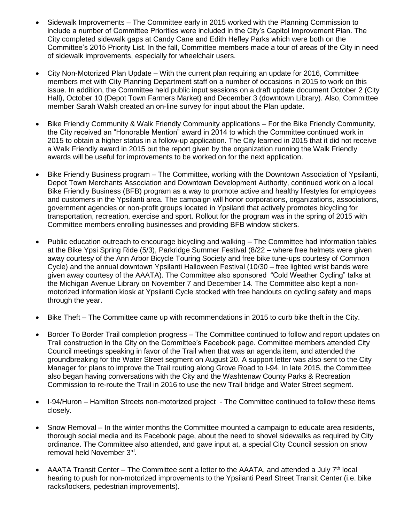- Sidewalk Improvements The Committee early in 2015 worked with the Planning Commission to include a number of Committee Priorities were included in the City's Capitol Improvement Plan. The City completed sidewalk gaps at Candy Cane and Edith Hefley Parks which were both on the Committee's 2015 Priority List. In the fall, Committee members made a tour of areas of the City in need of sidewalk improvements, especially for wheelchair users.
- City Non-Motorized Plan Update With the current plan requiring an update for 2016, Committee members met with City Planning Department staff on a number of occasions in 2015 to work on this issue. In addition, the Committee held public input sessions on a draft update document October 2 (City Hall), October 10 (Depot Town Farmers Market) and December 3 (downtown Library). Also, Committee member Sarah Walsh created an on-line survey for input about the Plan update.
- Bike Friendly Community & Walk Friendly Community applications For the Bike Friendly Community, the City received an "Honorable Mention" award in 2014 to which the Committee continued work in 2015 to obtain a higher status in a follow-up application. The City learned in 2015 that it did not receive a Walk Friendly award in 2015 but the report given by the organization running the Walk Friendly awards will be useful for improvements to be worked on for the next application.
- Bike Friendly Business program The Committee, working with the Downtown Association of Ypsilanti, Depot Town Merchants Association and Downtown Development Authority, continued work on a local Bike Friendly Business (BFB) program as a way to promote active and healthy lifestyles for employees and customers in the Ypsilanti area. The campaign will honor corporations, organizations, associations, government agencies or non-profit groups located in Ypsilanti that actively promotes bicycling for transportation, recreation, exercise and sport. Rollout for the program was in the spring of 2015 with Committee members enrolling businesses and providing BFB window stickers.
- Public education outreach to encourage bicycling and walking The Committee had information tables at the Bike Ypsi Spring Ride (5/3), Parkridge Summer Festival (8/22 – where free helmets were given away courtesy of the Ann Arbor Bicycle Touring Society and free bike tune-ups courtesy of Common Cycle) and the annual downtown Ypsilanti Halloween Festival (10/30 – free lighted wrist bands were given away courtesy of the AAATA). The Committee also sponsored "Cold Weather Cycling" talks at the Michigan Avenue Library on November 7 and December 14. The Committee also kept a nonmotorized information kiosk at Ypsilanti Cycle stocked with free handouts on cycling safety and maps through the year.
- Bike Theft The Committee came up with recommendations in 2015 to curb bike theft in the City.
- Border To Border Trail completion progress The Committee continued to follow and report updates on Trail construction in the City on the Committee's Facebook page. Committee members attended City Council meetings speaking in favor of the Trail when that was an agenda item, and attended the groundbreaking for the Water Street segment on August 20. A support letter was also sent to the City Manager for plans to improve the Trail routing along Grove Road to I-94. In late 2015, the Committee also began having conversations with the City and the Washtenaw County Parks & Recreation Commission to re-route the Trail in 2016 to use the new Trail bridge and Water Street segment.
- I-94/Huron Hamilton Streets non-motorized project The Committee continued to follow these items closely.
- Snow Removal In the winter months the Committee mounted a campaign to educate area residents, thorough social media and its Facebook page, about the need to shovel sidewalks as required by City ordinance. The Committee also attended, and gave input at, a special City Council session on snow removal held November 3<sup>rd</sup>.
- AAATA Transit Center The Committee sent a letter to the AAATA, and attended a July  $7<sup>th</sup>$  local hearing to push for non-motorized improvements to the Ypsilanti Pearl Street Transit Center (i.e. bike racks/lockers, pedestrian improvements).